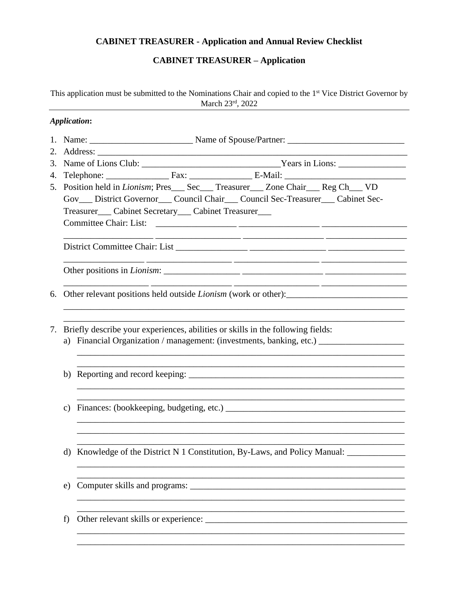## **CABINET TREASURER - Application and Annual Review Checklist**

## **CABINET TREASURER - Application**

This application must be submitted to the Nominations Chair and copied to the 1st Vice District Governor by March 23rd, 2022

|    | <b>Application:</b>                                                      |  |                                                                                          |  |  |  |  |
|----|--------------------------------------------------------------------------|--|------------------------------------------------------------------------------------------|--|--|--|--|
|    |                                                                          |  |                                                                                          |  |  |  |  |
|    |                                                                          |  |                                                                                          |  |  |  |  |
|    |                                                                          |  |                                                                                          |  |  |  |  |
| 4. |                                                                          |  | Telephone: Fax: Fax: E-Mail: E-Mail:                                                     |  |  |  |  |
| 5. |                                                                          |  | Position held in <i>Lionism</i> ; Pres___ Sec___ Treasurer___ Zone Chair___ Reg Ch___ VD |  |  |  |  |
|    |                                                                          |  | Gov__ District Governor___ Council Chair___ Council Sec-Treasurer___ Cabinet Sec-        |  |  |  |  |
|    | Treasurer___ Cabinet Secretary___ Cabinet Treasurer___                   |  |                                                                                          |  |  |  |  |
|    |                                                                          |  |                                                                                          |  |  |  |  |
|    |                                                                          |  |                                                                                          |  |  |  |  |
|    |                                                                          |  |                                                                                          |  |  |  |  |
|    | 6. Other relevant positions held outside <i>Lionism</i> (work or other): |  |                                                                                          |  |  |  |  |
|    |                                                                          |  | 7. Briefly describe your experiences, abilities or skills in the following fields:       |  |  |  |  |
|    |                                                                          |  |                                                                                          |  |  |  |  |
|    |                                                                          |  |                                                                                          |  |  |  |  |
|    |                                                                          |  | d) Knowledge of the District N 1 Constitution, By-Laws, and Policy Manual:               |  |  |  |  |
| e) |                                                                          |  |                                                                                          |  |  |  |  |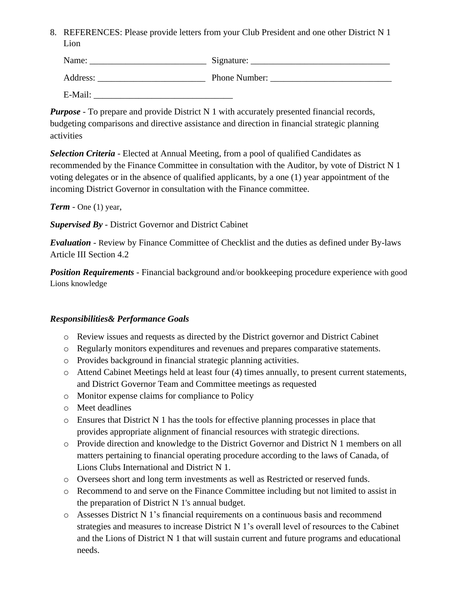8. REFERENCES: Please provide letters from your Club President and one other District N 1 Lion

| Name:    | Signature:    |
|----------|---------------|
| Address: | Phone Number: |

 $E$ -Mail:

*Purpose* - To prepare and provide District N 1 with accurately presented financial records, budgeting comparisons and directive assistance and direction in financial strategic planning activities

*Selection Criteria* - Elected at Annual Meeting, from a pool of qualified Candidates as recommended by the Finance Committee in consultation with the Auditor, by vote of District N 1 voting delegates or in the absence of qualified applicants, by a one (1) year appointment of the incoming District Governor in consultation with the Finance committee.

*Term* - One (1) year,

*Supervised By* - District Governor and District Cabinet

*Evaluation* - Review by Finance Committee of Checklist and the duties as defined under By-laws Article III Section 4.2

**Position Requirements** - Financial background and/or bookkeeping procedure experience with good Lions knowledge

## *Responsibilities& Performance Goals*

- o Review issues and requests as directed by the District governor and District Cabinet
- o Regularly monitors expenditures and revenues and prepares comparative statements.
- o Provides background in financial strategic planning activities.
- o Attend Cabinet Meetings held at least four (4) times annually, to present current statements, and District Governor Team and Committee meetings as requested
- o Monitor expense claims for compliance to Policy
- o Meet deadlines
- $\circ$  Ensures that District N 1 has the tools for effective planning processes in place that provides appropriate alignment of financial resources with strategic directions.
- o Provide direction and knowledge to the District Governor and District N 1 members on all matters pertaining to financial operating procedure according to the laws of Canada, of Lions Clubs International and District N 1.
- o Oversees short and long term investments as well as Restricted or reserved funds.
- o Recommend to and serve on the Finance Committee including but not limited to assist in the preparation of District N 1's annual budget.
- o Assesses District N 1's financial requirements on a continuous basis and recommend strategies and measures to increase District N 1's overall level of resources to the Cabinet and the Lions of District N 1 that will sustain current and future programs and educational needs.